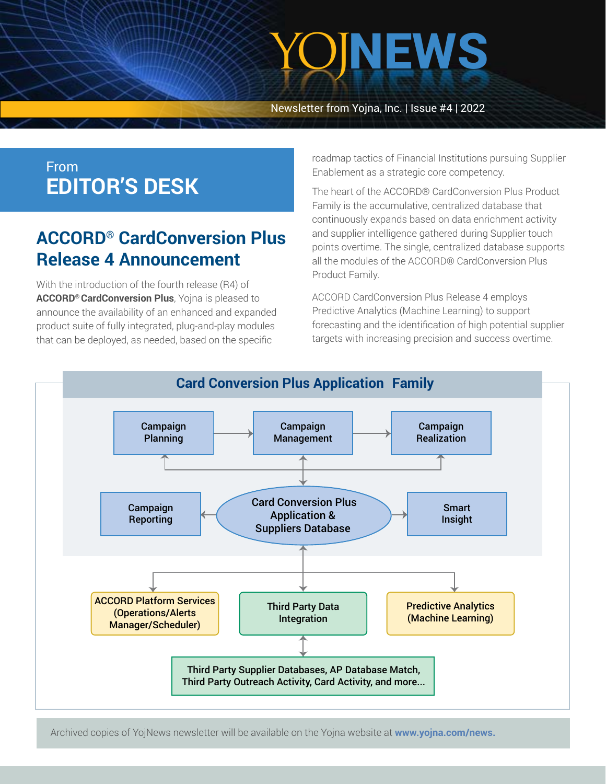# YOJNEWS

Newsletter from Yojna, Inc. | Issue #4 | 2022

### From **EDITOR'S DESK**

## **ACCORD® CardConversion Plus Release 4 Announcement**

With the introduction of the fourth release (R4) of **ACCORD® CardConversion Plus**, Yojna is pleased to announce the availability of an enhanced and expanded product suite of fully integrated, plug-and-play modules that can be deployed, as needed, based on the specific

roadmap tactics of Financial Institutions pursuing Supplier Enablement as a strategic core competency.

The heart of the ACCORD® CardConversion Plus Product Family is the accumulative, centralized database that continuously expands based on data enrichment activity and supplier intelligence gathered during Supplier touch points overtime. The single, centralized database supports all the modules of the ACCORD® CardConversion Plus Product Family.

ACCORD CardConversion Plus Release 4 employs Predictive Analytics (Machine Learning) to support forecasting and the identification of high potential supplier targets with increasing precision and success overtime.



Archived copies of YojNews newsletter will be available on the Yojna website at **[www.yojna.com/news.](https://www.yojna.com/news.html)**